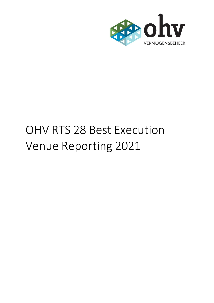

# OHV RTS 28 Best Execution Venue Reporting 2021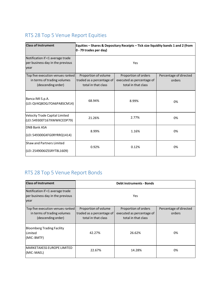# RTS 28 Top 5 Venue Report Equities

| <b>Class of Instrument</b>                                                            | Equities – Shares & Depositary Receipts – Tick size liquidity bands 1 and 2 (from<br>$ 0 - 79$ trades per day) |                                                                          |                                  |
|---------------------------------------------------------------------------------------|----------------------------------------------------------------------------------------------------------------|--------------------------------------------------------------------------|----------------------------------|
| Notification if <1 average trade<br>per business day in the previous<br>year          | Yes                                                                                                            |                                                                          |                                  |
| Top five execution venues ranked<br>in terms of trading volumes<br>(descending order) | Proportion of volume<br>traded as a percentage of<br>total in that class                                       | Proportion of orders<br>executed as percentage of<br>total in that class | Percentage of directed<br>orders |
| Banca IMI S.p.A.<br>(LEI: QV4Q8OGJ7OA6PA8SCM14)                                       | 68.94%                                                                                                         | 8.99%                                                                    | 0%                               |
| Velocity Trade Capital Limited<br>(LEI: 549300T167XWWKCEDP79)                         | 21.26%                                                                                                         | 2.77%                                                                    | 0%                               |
| <b>DNB Bank ASA</b><br>(LEI: 549300GKFG0RYRRQ1414)                                    | 8.99%                                                                                                          | 1.16%                                                                    | 0%                               |
| <b>Shaw and Partners Limited</b><br>(LEI: 2549006IZSSRYT8L1609)                       | 0.92%                                                                                                          | 0.12%                                                                    | 0%                               |

# RTS 28 Top 5 Venue Report Bonds

| <b>Class of Instrument</b>                                                            | <b>Debt instruments - Bonds</b>                                          |                                                                          |                                  |
|---------------------------------------------------------------------------------------|--------------------------------------------------------------------------|--------------------------------------------------------------------------|----------------------------------|
| Notification if <1 average trade<br>per business day in the previous<br>year          | Yes                                                                      |                                                                          |                                  |
| Top five execution venues ranked<br>in terms of trading volumes<br>(descending order) | Proportion of volume<br>traded as a percentage of<br>total in that class | Proportion of orders<br>executed as percentage of<br>total in that class | Percentage of directed<br>orders |
| <b>Bloomberg Trading Facility</b><br>Limited<br>(MIC: BMTF)                           | 42.27%                                                                   | 26.62%                                                                   | 0%                               |
| IMARKETAXESS EUROPE LIMITED<br>(MIC: MAEL)                                            | 22.67%                                                                   | 14.28%                                                                   | 0%                               |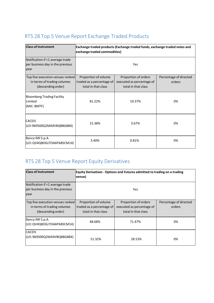### RTS 28 Top 5 Venue Report Exchange Traded Products

| <b>Class of Instrument</b>                                                            | Exchange traded products (Exchange traded funds, exchange traded notes and<br>exchange traded commodities) |                                                                          |                                  |
|---------------------------------------------------------------------------------------|------------------------------------------------------------------------------------------------------------|--------------------------------------------------------------------------|----------------------------------|
| Notification if <1 average trade<br>per business day in the previous<br>year          | Yes                                                                                                        |                                                                          |                                  |
| Top five execution venues ranked<br>in terms of trading volumes<br>(descending order) | Proportion of volume<br>traded as a percentage of<br>total in that class                                   | Proportion of orders<br>executed as percentage of<br>total in that class | Percentage of directed<br>orders |
| <b>Bloomberg Trading Facility</b><br>Limited<br>(MIC: BMTF)                           | 81.22%                                                                                                     | 19.37%                                                                   | 0%                               |
| <b>CACEIS</b><br>(LEI:969500Q2MA9VBQ8BG884)                                           | 15.38%                                                                                                     | 3.67%                                                                    | 0%                               |
| Banca IMI S.p.A.<br>(LEI: QV4Q8OGJ7OA6PA8SCM14)                                       | 3.40%                                                                                                      | 0.81%                                                                    | 0%                               |

# RTS 28 Top 5 Venue Report Equity Derivatives

| <b>Class of Instrument</b>                                                            | <b>Equity Derivatives - Options and Futures admitted to trading on a trading</b><br>venue) |                                                                          |                                  |
|---------------------------------------------------------------------------------------|--------------------------------------------------------------------------------------------|--------------------------------------------------------------------------|----------------------------------|
| Notification if <1 average trade<br>per business day in the previous<br>year          |                                                                                            | Yes                                                                      |                                  |
| Top five execution venues ranked<br>in terms of trading volumes<br>(descending order) | Proportion of volume<br>traded as a percentage of<br>total in that class                   | Proportion of orders<br>executed as percentage of<br>total in that class | Percentage of directed<br>orders |
| Banca IMI S.p.A.<br>(LEI: QV4Q8OGJ7OA6PA8SCM14)                                       | 48.68%                                                                                     | 71.47%                                                                   | 0%                               |
| <b>CACEIS</b><br>(LEI: 969500Q2MA9VBQ8BG884)                                          | 51.32%                                                                                     | 28.53%                                                                   | 0%                               |